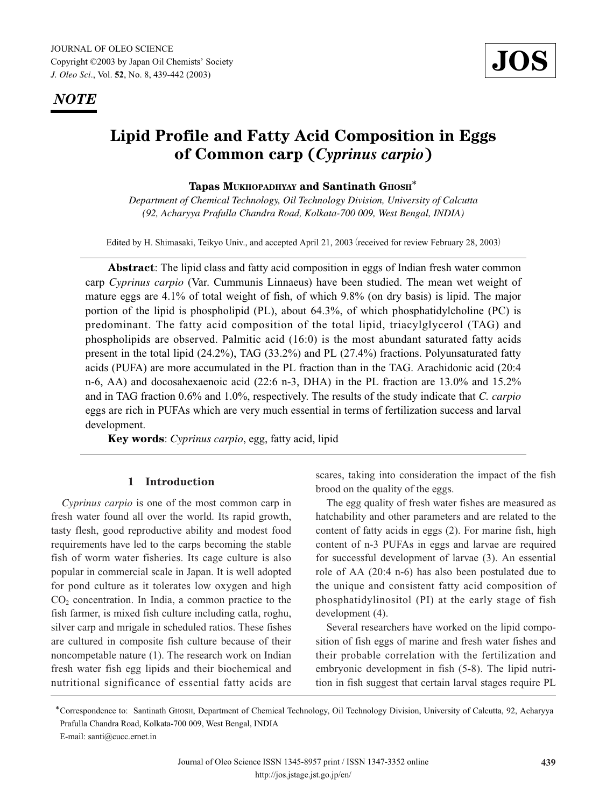*NOTE*



# **Lipid Profile and Fatty Acid Composition in Eggs of Common carp (***Cyprinus carpio***)**

**Tapas MUKHOPADHYAY and Santinath GHOSH**\*

*Department of Chemical Technology, Oil Technology Division, University of Calcutta (92, Acharyya Prafulla Chandra Road, Kolkata-700 009, West Bengal, INDIA)*

Edited by H. Shimasaki, Teikyo Univ., and accepted April 21, 2003 (received for review February 28, 2003)

**Abstract**: The lipid class and fatty acid composition in eggs of Indian fresh water common carp *Cyprinus carpio* (Var. Cummunis Linnaeus) have been studied. The mean wet weight of mature eggs are 4.1% of total weight of fish, of which 9.8% (on dry basis) is lipid. The major portion of the lipid is phospholipid (PL), about 64.3%, of which phosphatidylcholine (PC) is predominant. The fatty acid composition of the total lipid, triacylglycerol (TAG) and phospholipids are observed. Palmitic acid (16:0) is the most abundant saturated fatty acids present in the total lipid (24.2%), TAG (33.2%) and PL (27.4%) fractions. Polyunsaturated fatty acids (PUFA) are more accumulated in the PL fraction than in the TAG. Arachidonic acid (20:4 n-6, AA) and docosahexaenoic acid (22:6 n-3, DHA) in the PL fraction are 13.0% and 15.2% and in TAG fraction 0.6% and 1.0%, respectively. The results of the study indicate that *C. carpio* eggs are rich in PUFAs which are very much essential in terms of fertilization success and larval development.

**Key words**: *Cyprinus carpio*, egg, fatty acid, lipid

## **1 Introduction**

*Cyprinus carpio* is one of the most common carp in fresh water found all over the world. Its rapid growth, tasty flesh, good reproductive ability and modest food requirements have led to the carps becoming the stable fish of worm water fisheries. Its cage culture is also popular in commercial scale in Japan. It is well adopted for pond culture as it tolerates low oxygen and high  $CO<sub>2</sub>$  concentration. In India, a common practice to the fish farmer, is mixed fish culture including catla, roghu, silver carp and mrigale in scheduled ratios. These fishes are cultured in composite fish culture because of their noncompetable nature (1). The research work on Indian fresh water fish egg lipids and their biochemical and nutritional significance of essential fatty acids are scares, taking into consideration the impact of the fish brood on the quality of the eggs.

The egg quality of fresh water fishes are measured as hatchability and other parameters and are related to the content of fatty acids in eggs (2). For marine fish, high content of n-3 PUFAs in eggs and larvae are required for successful development of larvae (3). An essential role of AA (20:4 n-6) has also been postulated due to the unique and consistent fatty acid composition of phosphatidylinositol (PI) at the early stage of fish development (4).

Several researchers have worked on the lipid composition of fish eggs of marine and fresh water fishes and their probable correlation with the fertilization and embryonic development in fish (5-8). The lipid nutrition in fish suggest that certain larval stages require PL

<sup>\*</sup>Correspondence to: Santinath GHOSH, Department of Chemical Technology, Oil Technology Division, University of Calcutta, 92, Acharyya Prafulla Chandra Road, Kolkata-700 009, West Bengal, INDIA E-mail: santi@cucc.ernet.in

Journal of Oleo Science ISSN 1345-8957 print / ISSN 1347-3352 online http://jos.jstage.jst.go.jp/en/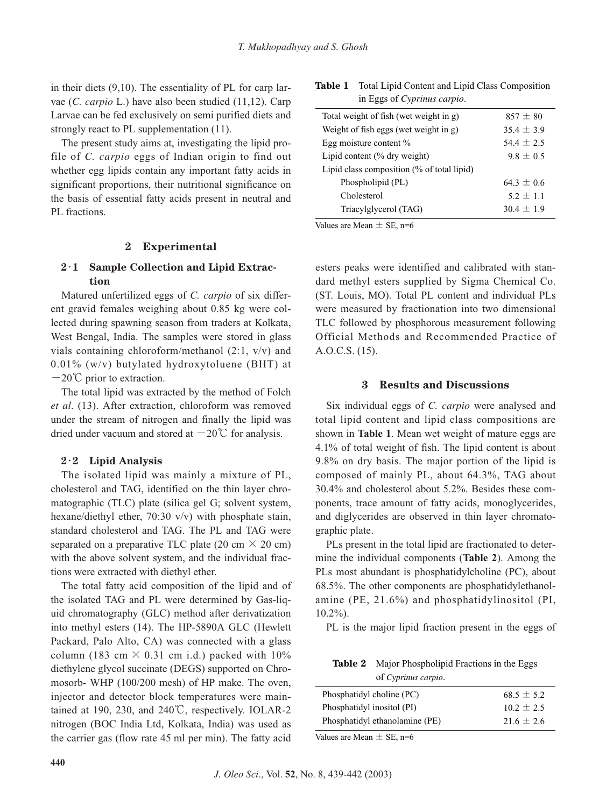in their diets (9,10). The essentiality of PL for carp larvae (*C. carpio* L.) have also been studied (11,12). Carp Larvae can be fed exclusively on semi purified diets and strongly react to PL supplementation (11).

The present study aims at, investigating the lipid profile of *C. carpio* eggs of Indian origin to find out whether egg lipids contain any important fatty acids in significant proportions, their nutritional significance on the basis of essential fatty acids present in neutral and PL fractions.

### **2 Experimental**

## **2**・**1 Sample Collection and Lipid Extraction**

Matured unfertilized eggs of *C. carpio* of six different gravid females weighing about 0.85 kg were collected during spawning season from traders at Kolkata, West Bengal, India. The samples were stored in glass vials containing chloroform/methanol (2:1, v/v) and 0.01% (w/v) butylated hydroxytoluene (BHT) at  $-20^{\circ}$  prior to extraction.

The total lipid was extracted by the method of Folch *et al*. (13). After extraction, chloroform was removed under the stream of nitrogen and finally the lipid was dried under vacuum and stored at  $-20^{\circ}$  for analysis.

#### **2**・**2 Lipid Analysis**

The isolated lipid was mainly a mixture of PL, cholesterol and TAG, identified on the thin layer chromatographic (TLC) plate (silica gel G; solvent system, hexane/diethyl ether, 70:30 v/v) with phosphate stain, standard cholesterol and TAG. The PL and TAG were separated on a preparative TLC plate (20 cm  $\times$  20 cm) with the above solvent system, and the individual fractions were extracted with diethyl ether.

The total fatty acid composition of the lipid and of the isolated TAG and PL were determined by Gas-liquid chromatography (GLC) method after derivatization into methyl esters (14). The HP-5890A GLC (Hewlett Packard, Palo Alto, CA) was connected with a glass column (183 cm  $\times$  0.31 cm i.d.) packed with 10% diethylene glycol succinate (DEGS) supported on Chromosorb- WHP (100/200 mesh) of HP make. The oven, injector and detector block temperatures were maintained at 190, 230, and 240℃, respectively. IOLAR-2 nitrogen (BOC India Ltd, Kolkata, India) was used as the carrier gas (flow rate 45 ml per min). The fatty acid

| Table 1 | Total Lipid Content and Lipid Class Composition |
|---------|-------------------------------------------------|
|         | in Eggs of Cyprinus carpio.                     |

| Total weight of fish (wet weight in g)     | $857 \pm 80$   |
|--------------------------------------------|----------------|
| Weight of fish eggs (wet weight in g)      | $35.4 \pm 3.9$ |
| Egg moisture content %                     | $54.4 \pm 2.5$ |
| Lipid content $(\%$ dry weight)            | $9.8 \pm 0.5$  |
| Lipid class composition (% of total lipid) |                |
| Phospholipid (PL)                          | $64.3 + 0.6$   |
| Cholesterol                                | $5.2 \pm 1.1$  |
| Triacylglycerol (TAG)                      | $30.4 \pm 1.9$ |

Values are Mean  $\pm$  SE, n=6

esters peaks were identified and calibrated with standard methyl esters supplied by Sigma Chemical Co. (ST. Louis, MO). Total PL content and individual PLs were measured by fractionation into two dimensional TLC followed by phosphorous measurement following Official Methods and Recommended Practice of A.O.C.S. (15).

#### **3 Results and Discussions**

Six individual eggs of *C. carpio* were analysed and total lipid content and lipid class compositions are shown in **Table 1**. Mean wet weight of mature eggs are 4.1% of total weight of fish. The lipid content is about 9.8% on dry basis. The major portion of the lipid is composed of mainly PL, about 64.3%, TAG about 30.4% and cholesterol about 5.2%. Besides these components, trace amount of fatty acids, monoglycerides, and diglycerides are observed in thin layer chromatographic plate.

PLs present in the total lipid are fractionated to determine the individual components (**Table 2**). Among the PLs most abundant is phosphatidylcholine (PC), about 68.5%. The other components are phosphatidylethanolamine (PE, 21.6%) and phosphatidylinositol (PI, 10.2%).

PL is the major lipid fraction present in the eggs of

**Table 2** Major Phospholipid Fractions in the Eggs of *Cyprinus carpio*.

| Phosphatidyl choline (PC)      | $68.5 \pm 5.2$ |
|--------------------------------|----------------|
| Phosphatidyl inositol (PI)     | $10.2 \pm 2.5$ |
| Phosphatidyl ethanolamine (PE) | $21.6 \pm 2.6$ |

Values are Mean  $\pm$  SE, n=6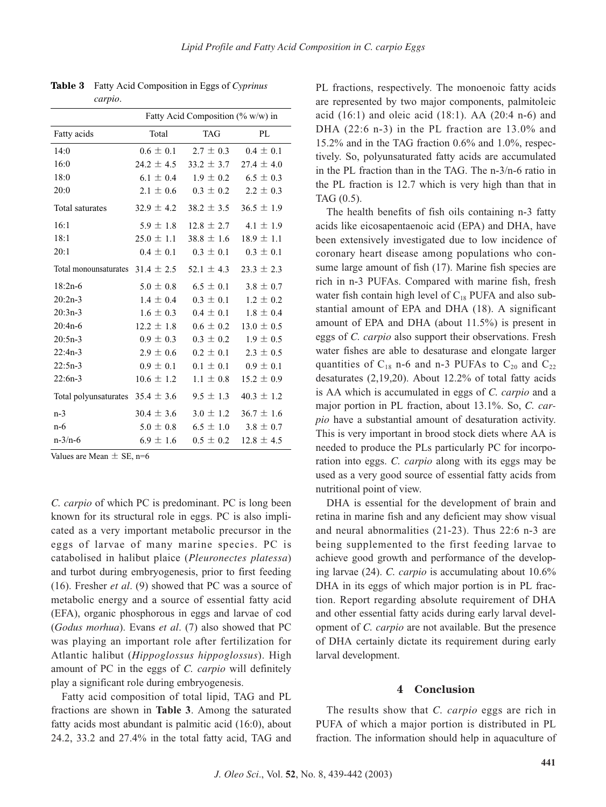|                                      | Fatty Acid Composition (% w/w) in |                |                              |  |
|--------------------------------------|-----------------------------------|----------------|------------------------------|--|
| Fatty acids                          | Total                             | <b>TAG</b>     | PL                           |  |
| 14:0                                 | $0.6 \pm 0.1$                     | $2.7 \pm 0.3$  | $0.4 \pm 0.1$                |  |
| 16:0                                 | $24.2 \pm 4.5$                    | $33.2 \pm 3.7$ | $27.4 \pm 4.0$               |  |
| 18:0                                 | $6.1 \pm 0.4$                     | $1.9 \pm 0.2$  | $6.5 \pm 0.3$                |  |
| 20:0                                 | $2.1 \pm 0.6$                     | $0.3 \pm 0.2$  | $2.2 \pm 0.3$                |  |
| Total saturates                      | $32.9 \pm 4.2$                    | $38.2 \pm 3.5$ | $36.5 \pm 1.9$               |  |
| 16:1                                 | $5.9 \pm 1.8$                     |                | $12.8 \pm 2.7$ 4.1 $\pm$ 1.9 |  |
| 18:1                                 | $25.0 \pm 1.1$                    | $38.8 \pm 1.6$ | $18.9 \pm 1.1$               |  |
| 20:1                                 | $0.4 \pm 0.1$                     | $0.3 \pm 0.1$  | $0.3 \pm 0.1$                |  |
| Total monounsaturates $31.4 \pm 2.5$ |                                   | 52.1 $\pm$ 4.3 | $23.3 \pm 2.3$               |  |
| $18:2n-6$                            | $5.0 \pm 0.8$                     | $6.5 \pm 0.1$  | $3.8 \pm 0.7$                |  |
| $20:2n-3$                            | $1.4 \pm 0.4$                     | $0.3 \pm 0.1$  | $1.2 \pm 0.2$                |  |
| $20:3n-3$                            | $1.6 \pm 0.3$                     | $0.4 \pm 0.1$  | $1.8 \pm 0.4$                |  |
| $20:4n-6$                            | $12.2 \pm 1.8$                    | $0.6 \pm 0.2$  | $13.0 \pm 0.5$               |  |
| $20:5n-3$                            | $0.9 \pm 0.3$                     | $0.3 \pm 0.2$  | $1.9 \pm 0.5$                |  |
| $22:4n-3$                            | $2.9 \pm 0.6$                     | $0.2 \pm 0.1$  | $2.3 \pm 0.5$                |  |
| $22:5n-3$                            | $0.9 \pm 0.1$                     | $0.1 \pm 0.1$  | $0.9 \pm 0.1$                |  |
| $22:6n-3$                            | $10.6 \pm 1.2$                    | $1.1 \pm 0.8$  | $15.2 \pm 0.9$               |  |
| Total polyunsaturates                | $35.4 \pm 3.6$                    | $9.5 \pm 1.3$  | $40.3 \pm 1.2$               |  |
| $n-3$                                | $30.4 \pm 3.6$                    | $3.0 \pm 1.2$  | $36.7 \pm 1.6$               |  |
| $n-6$                                | $5.0 \pm 0.8$                     | $6.5 \pm 1.0$  | $3.8 \pm 0.7$                |  |
| $n - 3/n - 6$                        | $6.9 \pm 1.6$                     | $0.5 \pm 0.2$  | $12.8 \pm 4.5$               |  |

**Table 3** Fatty Acid Composition in Eggs of *Cyprinus carpio*.

Values are Mean  $\pm$  SE, n=6

*C. carpio* of which PC is predominant. PC is long been known for its structural role in eggs. PC is also implicated as a very important metabolic precursor in the eggs of larvae of many marine species. PC is catabolised in halibut plaice (*Pleuronectes platessa*) and turbot during embryogenesis, prior to first feeding (16). Fresher *et al*. (9) showed that PC was a source of metabolic energy and a source of essential fatty acid (EFA), organic phosphorous in eggs and larvae of cod (*Godus morhua*). Evans *et al*. (7) also showed that PC was playing an important role after fertilization for Atlantic halibut (*Hippoglossus hippoglossus*). High amount of PC in the eggs of *C. carpio* will definitely play a significant role during embryogenesis.

Fatty acid composition of total lipid, TAG and PL fractions are shown in **Table 3**. Among the saturated fatty acids most abundant is palmitic acid (16:0), about 24.2, 33.2 and 27.4% in the total fatty acid, TAG and PL fractions, respectively. The monoenoic fatty acids are represented by two major components, palmitoleic acid (16:1) and oleic acid (18:1). AA (20:4 n-6) and DHA (22:6 n-3) in the PL fraction are 13.0% and 15.2% and in the TAG fraction 0.6% and 1.0%, respectively. So, polyunsaturated fatty acids are accumulated in the PL fraction than in the TAG. The n-3/n-6 ratio in the PL fraction is 12.7 which is very high than that in TAG (0.5).

The health benefits of fish oils containing n-3 fatty acids like eicosapentaenoic acid (EPA) and DHA, have been extensively investigated due to low incidence of coronary heart disease among populations who consume large amount of fish (17). Marine fish species are rich in n-3 PUFAs. Compared with marine fish, fresh water fish contain high level of  $C_{18}$  PUFA and also substantial amount of EPA and DHA (18). A significant amount of EPA and DHA (about 11.5%) is present in eggs of *C. carpio* also support their observations. Fresh water fishes are able to desaturase and elongate larger quantities of  $C_{18}$  n-6 and n-3 PUFAs to  $C_{20}$  and  $C_{22}$ desaturates (2,19,20). About 12.2% of total fatty acids is AA which is accumulated in eggs of *C. carpio* and a major portion in PL fraction, about 13.1%. So, *C. carpio* have a substantial amount of desaturation activity. This is very important in brood stock diets where AA is needed to produce the PLs particularly PC for incorporation into eggs. *C. carpio* along with its eggs may be used as a very good source of essential fatty acids from nutritional point of view.

DHA is essential for the development of brain and retina in marine fish and any deficient may show visual and neural abnormalities (21-23). Thus 22:6 n-3 are being supplemented to the first feeding larvae to achieve good growth and performance of the developing larvae (24). *C. carpio* is accumulating about 10.6% DHA in its eggs of which major portion is in PL fraction. Report regarding absolute requirement of DHA and other essential fatty acids during early larval development of *C. carpio* are not available. But the presence of DHA certainly dictate its requirement during early larval development.

#### **4 Conclusion**

The results show that *C. carpio* eggs are rich in PUFA of which a major portion is distributed in PL fraction. The information should help in aquaculture of